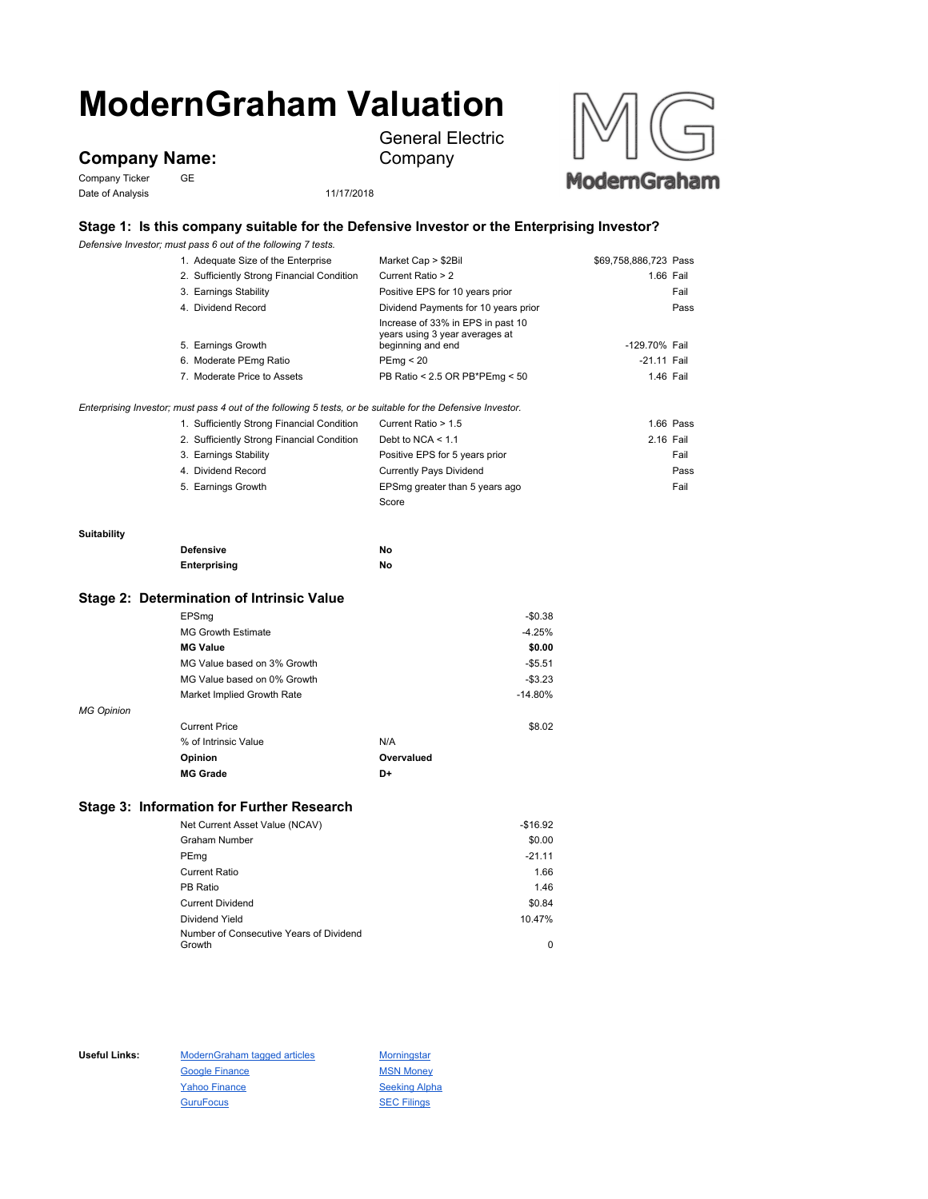# **ModernGraham Valuation**

**Company Name:**

Company Ticker GE Date of Analysis 11/17/2018



Company

General Electric



# **Stage 1: Is this company suitable for the Defensive Investor or the Enterprising Investor?**

*Defensive Investor; must pass 6 out of the following 7 tests.*

| 1. Adequate Size of the Enterprise                                                                          | Market Cap > \$2Bil                                                                      | \$69,758,886,723 Pass |           |
|-------------------------------------------------------------------------------------------------------------|------------------------------------------------------------------------------------------|-----------------------|-----------|
| 2. Sufficiently Strong Financial Condition                                                                  | Current Ratio > 2                                                                        |                       | 1.66 Fail |
| 3. Earnings Stability                                                                                       | Positive EPS for 10 years prior                                                          |                       | Fail      |
| 4. Dividend Record                                                                                          | Dividend Payments for 10 years prior                                                     |                       | Pass      |
| 5. Earnings Growth                                                                                          | Increase of 33% in EPS in past 10<br>years using 3 year averages at<br>beginning and end | -129.70% Fail         |           |
| 6. Moderate PEmg Ratio                                                                                      | PEmg < 20                                                                                | $-21.11$ Fail         |           |
| 7. Moderate Price to Assets                                                                                 | PB Ratio < 2.5 OR PB*PEmg < 50                                                           | 1.46 Fail             |           |
| Enterprising Investor; must pass 4 out of the following 5 tests, or be suitable for the Defensive Investor. |                                                                                          |                       |           |
| 1. Sufficiently Strong Financial Condition                                                                  | Current Ratio > 1.5                                                                      |                       | 1.66 Pass |
| 2. Sufficiently Strong Financial Condition                                                                  | Debt to NCA $<$ 1.1                                                                      | 2.16 Fail             |           |
| 3. Earnings Stability                                                                                       | Positive EPS for 5 years prior                                                           |                       | Fail      |
| 4. Dividend Record                                                                                          | <b>Currently Pays Dividend</b>                                                           |                       | Pass      |
| 5. Earnings Growth                                                                                          | EPSmg greater than 5 years ago                                                           |                       | Fail      |
|                                                                                                             | Score                                                                                    |                       |           |
|                                                                                                             |                                                                                          |                       |           |

#### **Suitability**

| <b>Defensive</b> | Νo |
|------------------|----|
| Enterprising     | Νo |

## **Stage 2: Determination of Intrinsic Value**

|                   | EPSmg                       |            | $-$0.38$  |
|-------------------|-----------------------------|------------|-----------|
|                   | <b>MG Growth Estimate</b>   |            | $-4.25%$  |
|                   | <b>MG Value</b>             |            | \$0.00    |
|                   | MG Value based on 3% Growth |            | $-$5.51$  |
|                   | MG Value based on 0% Growth |            | $-$3.23$  |
|                   | Market Implied Growth Rate  |            | $-14.80%$ |
| <b>MG Opinion</b> |                             |            |           |
|                   | <b>Current Price</b>        |            | \$8.02    |
|                   | % of Intrinsic Value        | N/A        |           |
|                   | Opinion                     | Overvalued |           |
|                   | <b>MG Grade</b>             | D+         |           |

# **Stage 3: Information for Further Research**

| Net Current Asset Value (NCAV)          | $-$16.92$ |
|-----------------------------------------|-----------|
| <b>Graham Number</b>                    | \$0.00    |
| PEmg                                    | $-21.11$  |
| <b>Current Ratio</b>                    | 1.66      |
| PB Ratio                                | 1.46      |
| <b>Current Dividend</b>                 | \$0.84    |
| Dividend Yield                          | 10.47%    |
| Number of Consecutive Years of Dividend |           |
| Growth                                  | 0         |

Useful Links: ModernGraham tagged articles Morningstar Google Finance MSN Money Yahoo Finance Seeking Alpha GuruFocus **SEC Filings**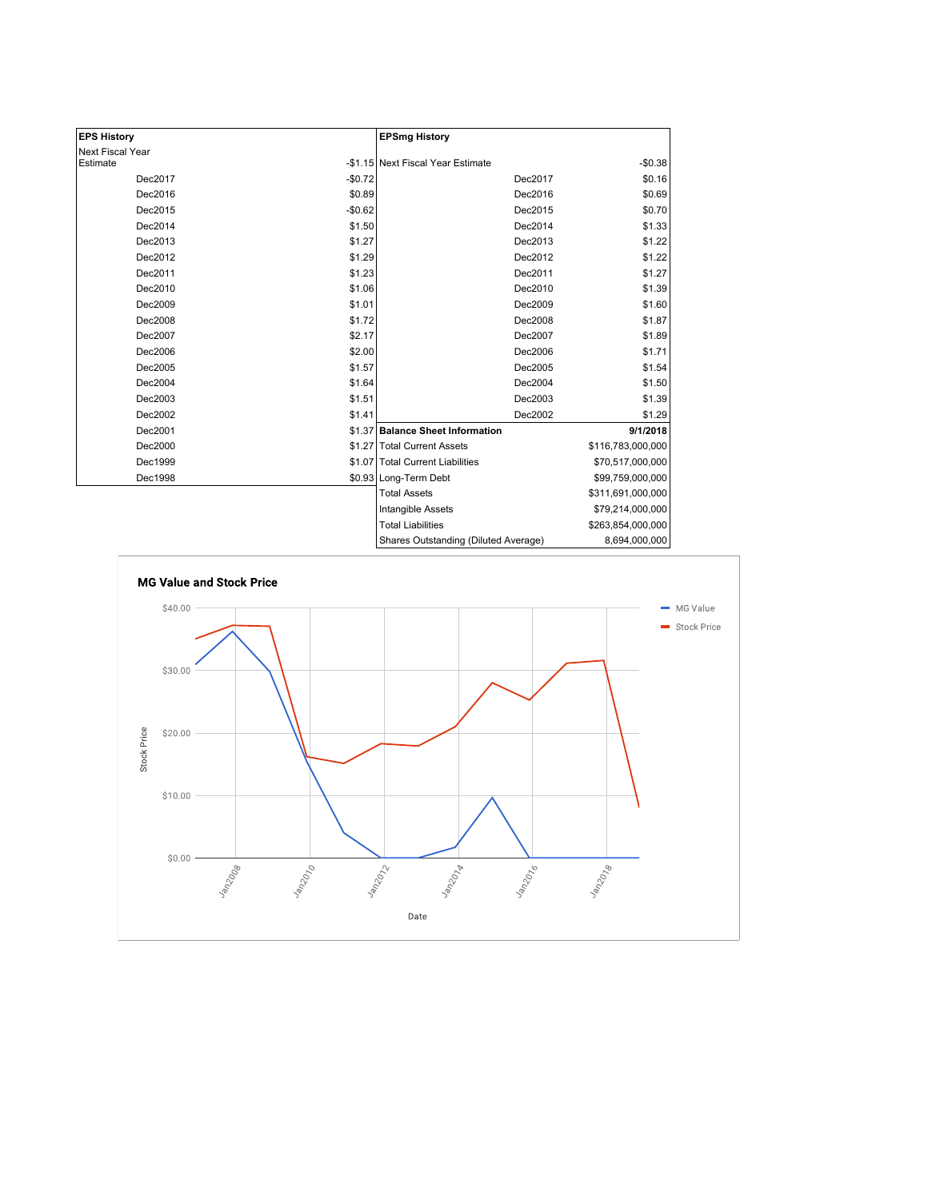| <b>EPS History</b> |          | <b>EPSmg History</b>                 |                   |
|--------------------|----------|--------------------------------------|-------------------|
| Next Fiscal Year   |          |                                      |                   |
| Estimate           |          | -\$1.15 Next Fiscal Year Estimate    | $-$0.38$          |
| Dec2017            | $-$0.72$ | Dec2017                              | \$0.16            |
| Dec2016            | \$0.89   | Dec2016                              | \$0.69            |
| Dec2015            | $-$0.62$ | Dec2015                              | \$0.70            |
| Dec2014            | \$1.50   | Dec2014                              | \$1.33            |
| Dec2013            | \$1.27   | Dec2013                              | \$1.22            |
| Dec2012            | \$1.29   | Dec2012                              | \$1.22            |
| Dec2011            | \$1.23   | Dec2011                              | \$1.27            |
| Dec2010            | \$1.06   | Dec2010                              | \$1.39            |
| Dec2009            | \$1.01   | Dec2009                              | \$1.60            |
| Dec2008            | \$1.72   | Dec2008                              | \$1.87            |
| Dec2007            | \$2.17   | Dec2007                              | \$1.89            |
| Dec2006            | \$2.00   | Dec2006                              | \$1.71            |
| Dec2005            | \$1.57   | Dec2005                              | \$1.54            |
| Dec2004            | \$1.64   | Dec2004                              | \$1.50            |
| Dec2003            | \$1.51   | Dec2003                              | \$1.39            |
| Dec2002            | \$1.41   | Dec2002                              | \$1.29            |
| Dec2001            |          | \$1.37 Balance Sheet Information     | 9/1/2018          |
| Dec2000            |          | \$1.27 Total Current Assets          | \$116,783,000,000 |
| Dec1999            |          | \$1.07 Total Current Liabilities     | \$70,517,000,000  |
| Dec1998            |          | \$0.93 Long-Term Debt                | \$99,759,000,000  |
|                    |          | <b>Total Assets</b>                  | \$311,691,000,000 |
|                    |          | Intangible Assets                    | \$79,214,000,000  |
|                    |          | <b>Total Liabilities</b>             | \$263,854,000,000 |
|                    |          | Shares Outstanding (Diluted Average) | 8,694,000,000     |